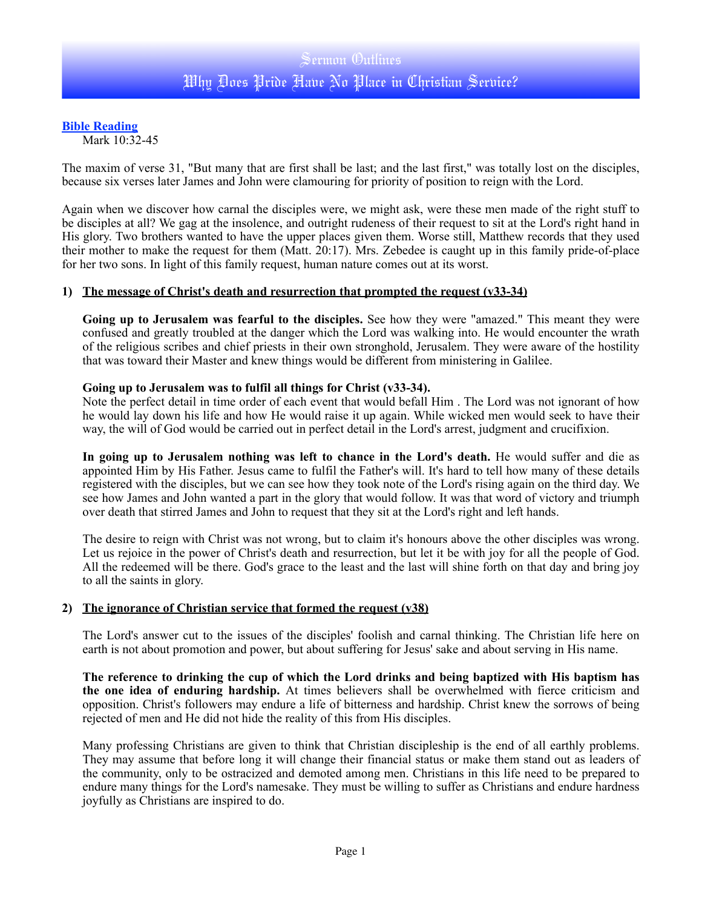# **Bible Reading**

Mark 10:32-45

The maxim of verse 31, "But many that are first shall be last; and the last first," was totally lost on the disciples, because six verses later James and John were clamouring for priority of position to reign with the Lord.

Again when we discover how carnal the disciples were, we might ask, were these men made of the right stuff to be disciples at all? We gag at the insolence, and outright rudeness of their request to sit at the Lord's right hand in His glory. Two brothers wanted to have the upper places given them. Worse still, Matthew records that they used their mother to make the request for them (Matt. 20:17). Mrs. Zebedee is caught up in this family pride-of-place for her two sons. In light of this family request, human nature comes out at its worst.

## **1) The message of Christ's death and resurrection that prompted the request (v33-34)**

**Going up to Jerusalem was fearful to the disciples.** See how they were "amazed." This meant they were confused and greatly troubled at the danger which the Lord was walking into. He would encounter the wrath of the religious scribes and chief priests in their own stronghold, Jerusalem. They were aware of the hostility that was toward their Master and knew things would be different from ministering in Galilee.

## **Going up to Jerusalem was to fulfil all things for Christ (v33-34).**

Note the perfect detail in time order of each event that would befall Him . The Lord was not ignorant of how he would lay down his life and how He would raise it up again. While wicked men would seek to have their way, the will of God would be carried out in perfect detail in the Lord's arrest, judgment and crucifixion.

**In going up to Jerusalem nothing was left to chance in the Lord's death.** He would suffer and die as appointed Him by His Father. Jesus came to fulfil the Father's will. It's hard to tell how many of these details registered with the disciples, but we can see how they took note of the Lord's rising again on the third day. We see how James and John wanted a part in the glory that would follow. It was that word of victory and triumph over death that stirred James and John to request that they sit at the Lord's right and left hands.

The desire to reign with Christ was not wrong, but to claim it's honours above the other disciples was wrong. Let us rejoice in the power of Christ's death and resurrection, but let it be with joy for all the people of God. All the redeemed will be there. God's grace to the least and the last will shine forth on that day and bring joy to all the saints in glory.

#### **2) The ignorance of Christian service that formed the request (v38)**

The Lord's answer cut to the issues of the disciples' foolish and carnal thinking. The Christian life here on earth is not about promotion and power, but about suffering for Jesus' sake and about serving in His name.

**The reference to drinking the cup of which the Lord drinks and being baptized with His baptism has the one idea of enduring hardship.** At times believers shall be overwhelmed with fierce criticism and opposition. Christ's followers may endure a life of bitterness and hardship. Christ knew the sorrows of being rejected of men and He did not hide the reality of this from His disciples.

Many professing Christians are given to think that Christian discipleship is the end of all earthly problems. They may assume that before long it will change their financial status or make them stand out as leaders of the community, only to be ostracized and demoted among men. Christians in this life need to be prepared to endure many things for the Lord's namesake. They must be willing to suffer as Christians and endure hardness joyfully as Christians are inspired to do.